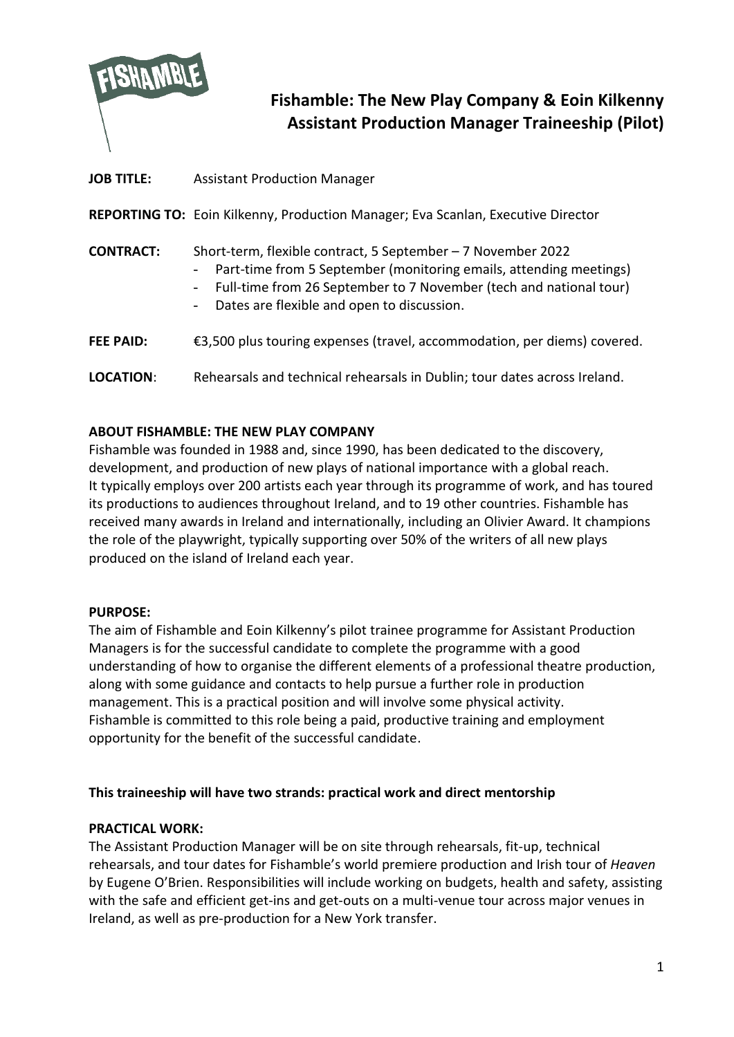

# **Fishamble: The New Play Company & Eoin Kilkenny Assistant Production Manager Traineeship (Pilot)**

# **JOB TITLE:** Assistant Production Manager

**REPORTING TO:** Eoin Kilkenny, Production Manager; Eva Scanlan, Executive Director

# **CONTRACT:** Short-term, flexible contract, 5 September – 7 November 2022

- Part-time from 5 September (monitoring emails, attending meetings)
- Full-time from 26 September to 7 November (tech and national tour)
- Dates are flexible and open to discussion.
- **FEE PAID:** €3,500 plus touring expenses (travel, accommodation, per diems) covered.
- **LOCATION**: Rehearsals and technical rehearsals in Dublin; tour dates across Ireland.

# **ABOUT FISHAMBLE: THE NEW PLAY COMPANY**

Fishamble was founded in 1988 and, since 1990, has been dedicated to the discovery, development, and production of new plays of national importance with a global reach. It typically employs over 200 artists each year through its programme of work, and has toured its productions to audiences throughout Ireland, and to 19 other countries. Fishamble has received many awards in Ireland and internationally, including an Olivier Award. It champions the role of the playwright, typically supporting over 50% of the writers of all new plays produced on the island of Ireland each year.

# **PURPOSE:**

The aim of Fishamble and Eoin Kilkenny's pilot trainee programme for Assistant Production Managers is for the successful candidate to complete the programme with a good understanding of how to organise the different elements of a professional theatre production, along with some guidance and contacts to help pursue a further role in production management. This is a practical position and will involve some physical activity. Fishamble is committed to this role being a paid, productive training and employment opportunity for the benefit of the successful candidate.

# **This traineeship will have two strands: practical work and direct mentorship**

# **PRACTICAL WORK:**

The Assistant Production Manager will be on site through rehearsals, fit-up, technical rehearsals, and tour dates for Fishamble's world premiere production and Irish tour of *Heaven* by Eugene O'Brien. Responsibilities will include working on budgets, health and safety, assisting with the safe and efficient get-ins and get-outs on a multi-venue tour across major venues in Ireland, as well as pre-production for a New York transfer.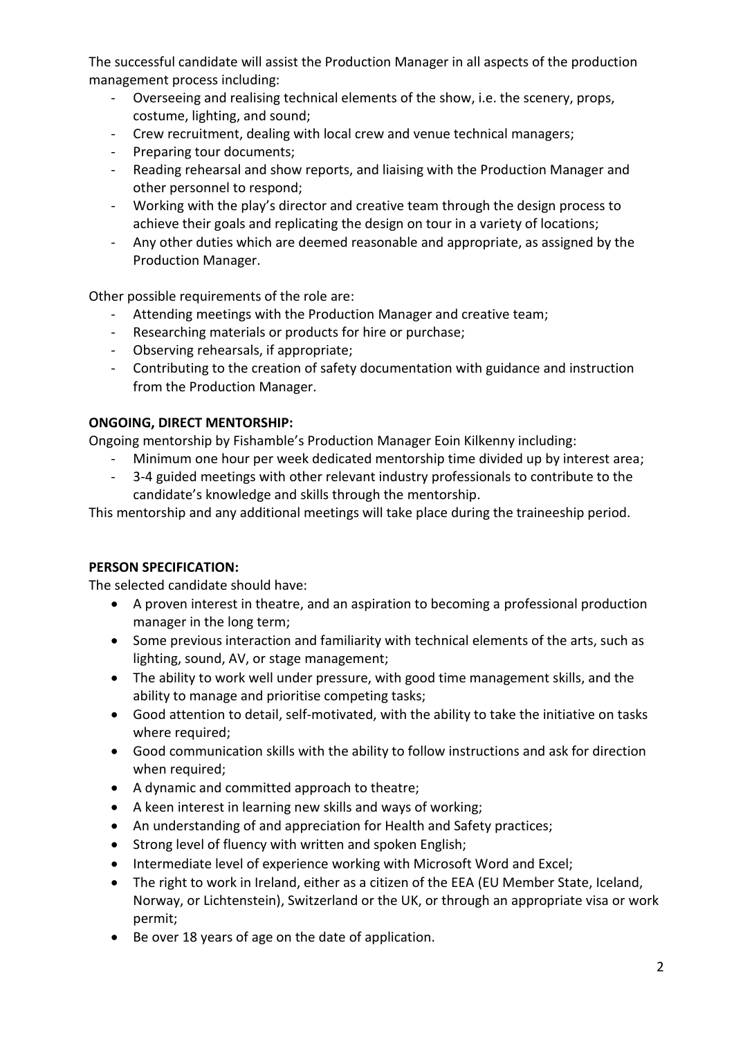The successful candidate will assist the Production Manager in all aspects of the production management process including:

- Overseeing and realising technical elements of the show, i.e. the scenery, props, costume, lighting, and sound;
- Crew recruitment, dealing with local crew and venue technical managers;
- Preparing tour documents;
- Reading rehearsal and show reports, and liaising with the Production Manager and other personnel to respond;
- Working with the play's director and creative team through the design process to achieve their goals and replicating the design on tour in a variety of locations;
- Any other duties which are deemed reasonable and appropriate, as assigned by the Production Manager.

Other possible requirements of the role are:

- Attending meetings with the Production Manager and creative team;
- Researching materials or products for hire or purchase;
- Observing rehearsals, if appropriate;
- Contributing to the creation of safety documentation with guidance and instruction from the Production Manager.

#### **ONGOING, DIRECT MENTORSHIP:**

Ongoing mentorship by Fishamble's Production Manager Eoin Kilkenny including:

- Minimum one hour per week dedicated mentorship time divided up by interest area;
- 3-4 guided meetings with other relevant industry professionals to contribute to the candidate's knowledge and skills through the mentorship.

This mentorship and any additional meetings will take place during the traineeship period.

#### **PERSON SPECIFICATION:**

The selected candidate should have:

- A proven interest in theatre, and an aspiration to becoming a professional production manager in the long term;
- Some previous interaction and familiarity with technical elements of the arts, such as lighting, sound, AV, or stage management;
- The ability to work well under pressure, with good time management skills, and the ability to manage and prioritise competing tasks;
- Good attention to detail, self-motivated, with the ability to take the initiative on tasks where required:
- Good communication skills with the ability to follow instructions and ask for direction when required;
- A dynamic and committed approach to theatre;
- A keen interest in learning new skills and ways of working;
- An understanding of and appreciation for Health and Safety practices;
- Strong level of fluency with written and spoken English;
- Intermediate level of experience working with Microsoft Word and Excel;
- The right to work in Ireland, either as a citizen of the EEA (EU Member State, Iceland, Norway, or Lichtenstein), Switzerland or the UK, or through an appropriate visa or work permit;
- Be over 18 years of age on the date of application.